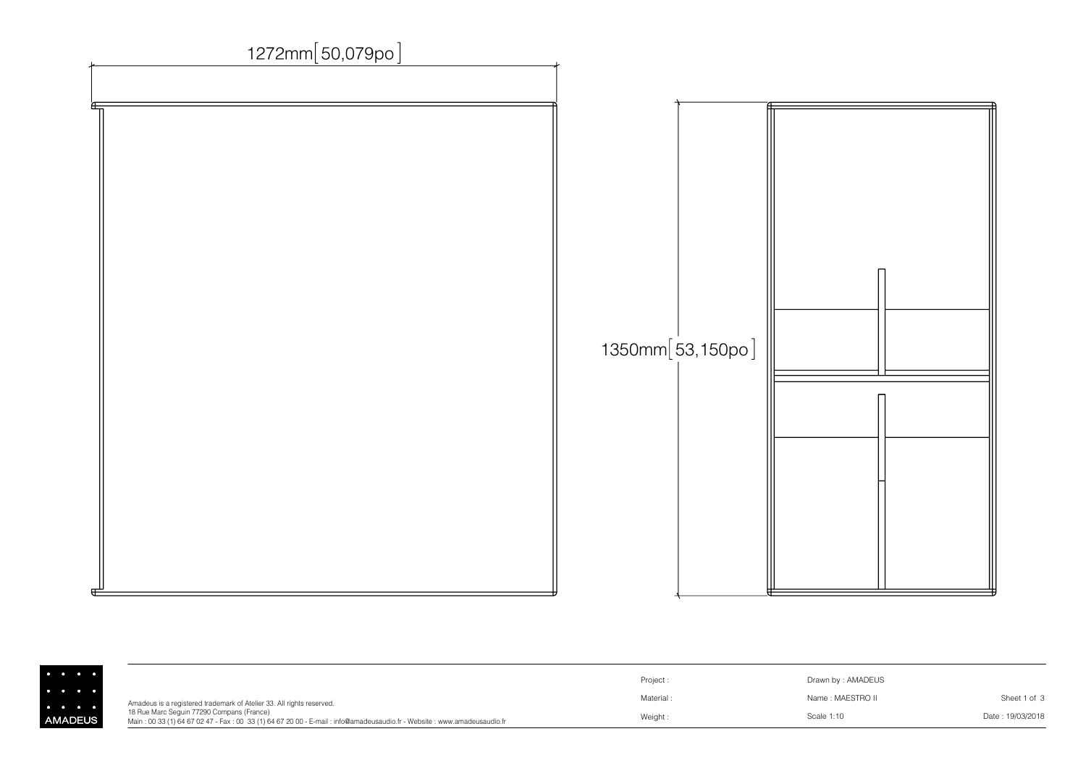

|                                     |                                                                                                                                                                     | Project:  | Drawn by: AMADEUS |                  |
|-------------------------------------|---------------------------------------------------------------------------------------------------------------------------------------------------------------------|-----------|-------------------|------------------|
| $\bullet\qquad\bullet\qquad\bullet$ | Amadeus is a registered trademark of Atelier 33. All rights reserved.                                                                                               | Material: | Name : MAESTRO II | Sheet 1 of 3     |
| <b>/ADEUS</b>                       | 18 Rue Marc Sequin 77290 Compans (France)<br>Main: 00 33 (1) 64 67 02 47 - Fax: 00 33 (1) 64 67 20 00 - E-mail: info@amadeusaudio.fr - Website: www.amadeusaudio.fr | Weight:   | Scale 1:10        | Date: 19/03/2018 |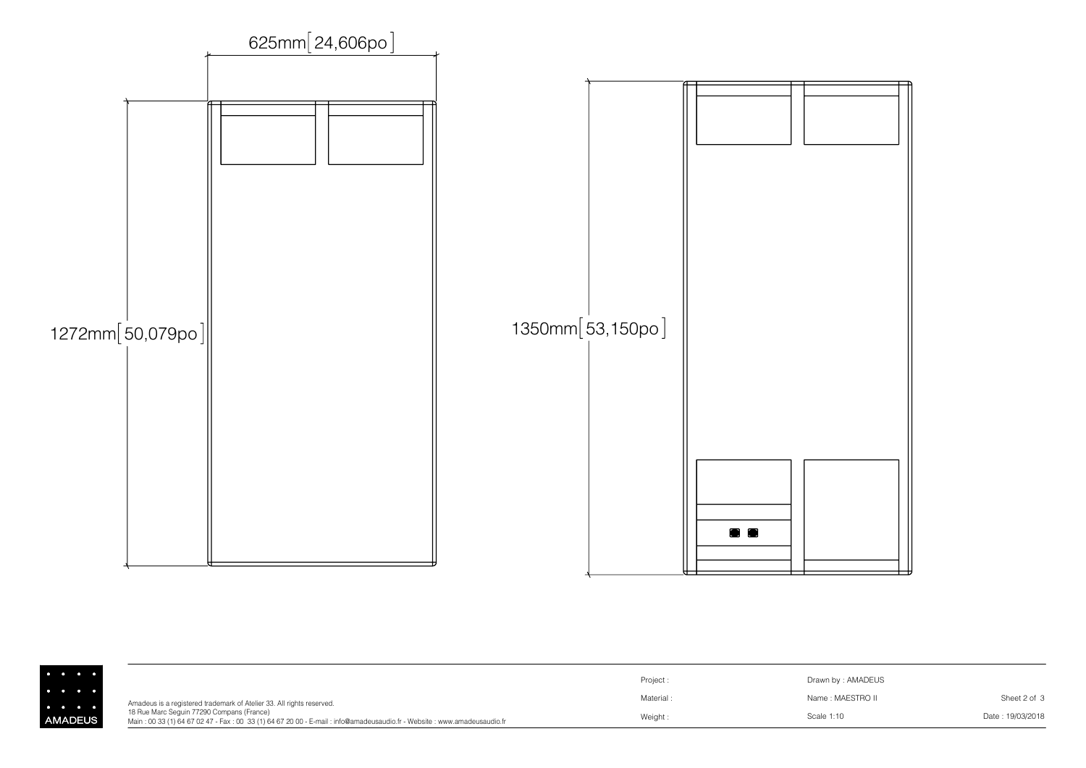

|       |                                                                                                                                                                     | Project   | Drawn by: AMADEUS |                  |
|-------|---------------------------------------------------------------------------------------------------------------------------------------------------------------------|-----------|-------------------|------------------|
|       | Amadeus is a registered trademark of Atelier 33. All rights reserved.                                                                                               | Material: | Name: MAESTRO II  | Sheet 2 of 3     |
| ADEUS | 18 Rue Marc Sequin 77290 Compans (France)<br>Main: 00 33 (1) 64 67 02 47 - Fax: 00 33 (1) 64 67 20 00 - E-mail: info@amadeusaudio.fr - Website: www.amadeusaudio.fr | Weight    | Scale 1:10        | Date: 19/03/2018 |